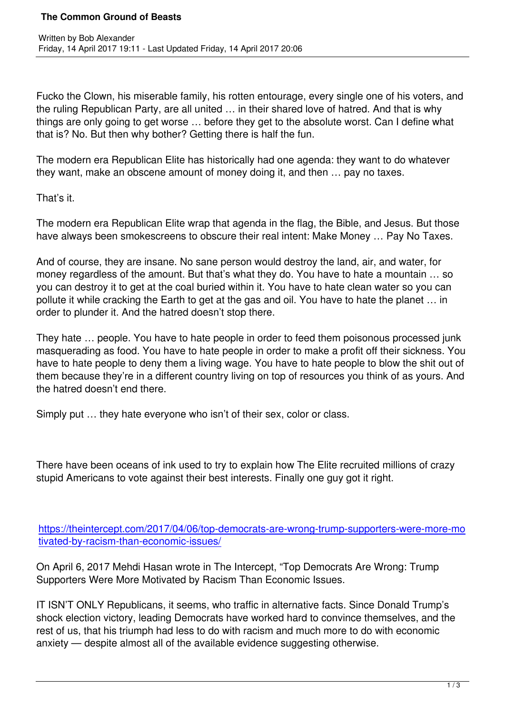Fucko the Clown, his miserable family, his rotten entourage, every single one of his voters, and the ruling Republican Party, are all united … in their shared love of hatred. And that is why things are only going to get worse … before they get to the absolute worst. Can I define what that is? No. But then why bother? Getting there is half the fun.

The modern era Republican Elite has historically had one agenda: they want to do whatever they want, make an obscene amount of money doing it, and then … pay no taxes.

That's it.

The modern era Republican Elite wrap that agenda in the flag, the Bible, and Jesus. But those have always been smokescreens to obscure their real intent: Make Money … Pay No Taxes.

And of course, they are insane. No sane person would destroy the land, air, and water, for money regardless of the amount. But that's what they do. You have to hate a mountain … so you can destroy it to get at the coal buried within it. You have to hate clean water so you can pollute it while cracking the Earth to get at the gas and oil. You have to hate the planet … in order to plunder it. And the hatred doesn't stop there.

They hate … people. You have to hate people in order to feed them poisonous processed junk masquerading as food. You have to hate people in order to make a profit off their sickness. You have to hate people to deny them a living wage. You have to hate people to blow the shit out of them because they're in a different country living on top of resources you think of as yours. And the hatred doesn't end there.

Simply put … they hate everyone who isn't of their sex, color or class.

There have been oceans of ink used to try to explain how The Elite recruited millions of crazy stupid Americans to vote against their best interests. Finally one guy got it right.

https://theintercept.com/2017/04/06/top-democrats-are-wrong-trump-supporters-were-more-mo tivated-by-racism-than-economic-issues/

[On April 6, 2017 Mehdi Hasan wrote in The Intercept, "Top Democrats Are Wrong: Trump](https://theintercept.com/2017/04/06/top-democrats-are-wrong-trump-supporters-were-more-motivated-by-racism-than-economic-issues/) [Supporters Were More Motivated by Raci](https://theintercept.com/2017/04/06/top-democrats-are-wrong-trump-supporters-were-more-motivated-by-racism-than-economic-issues/)sm Than Economic Issues.

IT ISN'T ONLY Republicans, it seems, who traffic in alternative facts. Since Donald Trump's shock election victory, leading Democrats have worked hard to convince themselves, and the rest of us, that his triumph had less to do with racism and much more to do with economic anxiety — despite almost all of the available evidence suggesting otherwise.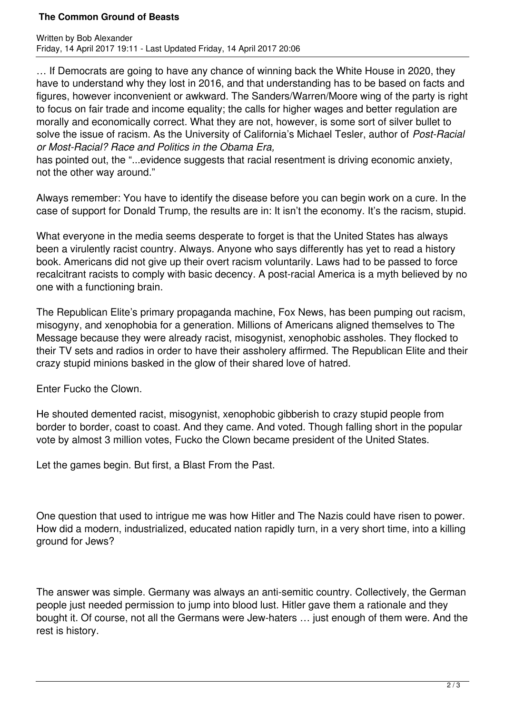## **The Common Ground of Beasts**

… If Democrats are going to have any chance of winning back the White House in 2020, they have to understand why they lost in 2016, and that understanding has to be based on facts and figures, however inconvenient or awkward. The Sanders/Warren/Moore wing of the party is right to focus on fair trade and income equality; the calls for higher wages and better regulation are morally and economically correct. What they are not, however, is some sort of silver bullet to solve the issue of racism. As the University of California's Michael Tesler, author of *Post-Racial or Most-Racial? Race and Politics in the Obama Era,* 

has pointed out, the "...evidence suggests that racial resentment is driving economic anxiety, not the other way around."

Always remember: You have to identify the disease before you can begin work on a cure. In the case of support for Donald Trump, the results are in: It isn't the economy. It's the racism, stupid.

What everyone in the media seems desperate to forget is that the United States has always been a virulently racist country. Always. Anyone who says differently has yet to read a history book. Americans did not give up their overt racism voluntarily. Laws had to be passed to force recalcitrant racists to comply with basic decency. A post-racial America is a myth believed by no one with a functioning brain.

The Republican Elite's primary propaganda machine, Fox News, has been pumping out racism, misogyny, and xenophobia for a generation. Millions of Americans aligned themselves to The Message because they were already racist, misogynist, xenophobic assholes. They flocked to their TV sets and radios in order to have their assholery affirmed. The Republican Elite and their crazy stupid minions basked in the glow of their shared love of hatred.

Enter Fucko the Clown.

He shouted demented racist, misogynist, xenophobic gibberish to crazy stupid people from border to border, coast to coast. And they came. And voted. Though falling short in the popular vote by almost 3 million votes, Fucko the Clown became president of the United States.

Let the games begin. But first, a Blast From the Past.

One question that used to intrigue me was how Hitler and The Nazis could have risen to power. How did a modern, industrialized, educated nation rapidly turn, in a very short time, into a killing ground for Jews?

The answer was simple. Germany was always an anti-semitic country. Collectively, the German people just needed permission to jump into blood lust. Hitler gave them a rationale and they bought it. Of course, not all the Germans were Jew-haters … just enough of them were. And the rest is history.